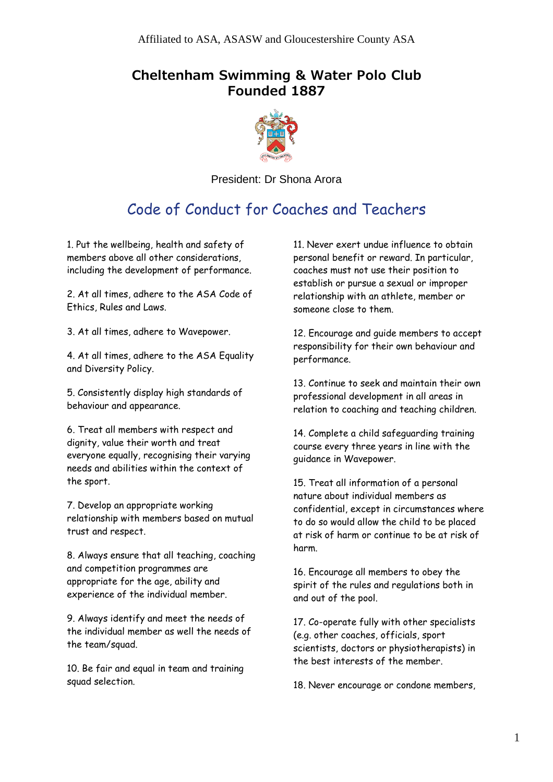## **Cheltenham Swimming & Water Polo Club Founded 1887**



President: Dr Shona Arora

## Code of Conduct for Coaches and Teachers

1. Put the wellbeing, health and safety of members above all other considerations, including the development of performance.

2. At all times, adhere to the ASA Code of Ethics, Rules and Laws.

3. At all times, adhere to Wavepower.

4. At all times, adhere to the ASA Equality and Diversity Policy.

5. Consistently display high standards of behaviour and appearance.

6. Treat all members with respect and dignity, value their worth and treat everyone equally, recognising their varying needs and abilities within the context of the sport.

7. Develop an appropriate working relationship with members based on mutual trust and respect.

8. Always ensure that all teaching, coaching and competition programmes are appropriate for the age, ability and experience of the individual member.

9. Always identify and meet the needs of the individual member as well the needs of the team/squad.

10. Be fair and equal in team and training squad selection.

11. Never exert undue influence to obtain personal benefit or reward. In particular, coaches must not use their position to establish or pursue a sexual or improper relationship with an athlete, member or someone close to them.

12. Encourage and guide members to accept responsibility for their own behaviour and performance.

13. Continue to seek and maintain their own professional development in all areas in relation to coaching and teaching children.

14. Complete a child safeguarding training course every three years in line with the guidance in Wavepower.

15. Treat all information of a personal nature about individual members as confidential, except in circumstances where to do so would allow the child to be placed at risk of harm or continue to be at risk of harm.

16. Encourage all members to obey the spirit of the rules and regulations both in and out of the pool.

17. Co-operate fully with other specialists (e.g. other coaches, officials, sport scientists, doctors or physiotherapists) in the best interests of the member.

18. Never encourage or condone members,